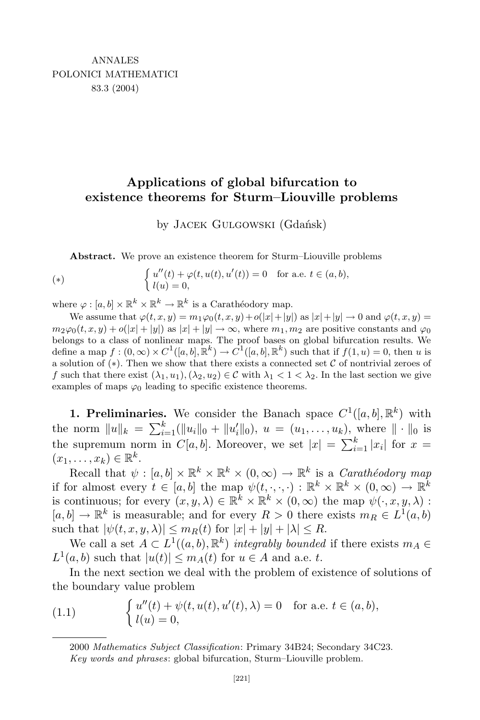## **Applications of global bifurcation to existence theorems for Sturm–Liouville problems**

by Jacek Gulgowski (Gdańsk)

**Abstract.** We prove an existence theorem for Sturm–Liouville problems

(\*) 
$$
\begin{cases} u''(t) + \varphi(t, u(t), u'(t)) = 0 & \text{for a.e. } t \in (a, b), \\ l(u) = 0, \end{cases}
$$

where  $\varphi : [a, b] \times \mathbb{R}^k \times \mathbb{R}^k \to \mathbb{R}^k$  is a Carathéodory map.

We assume that  $\varphi(t, x, y) = m_1 \varphi_0(t, x, y) + o(|x| + |y|)$  as  $|x| + |y| \to 0$  and  $\varphi(t, x, y) =$  $m_2\varphi_0(t,x,y) + o(|x|+|y|)$  as  $|x|+|y| \to \infty$ , where  $m_1, m_2$  are positive constants and  $\varphi_0$ belongs to a class of nonlinear maps. The proof bases on global bifurcation results. We define a map  $f:(0,\infty)\times C^1([a,b],\mathbb{R}^k)\to C^1([a,b],\mathbb{R}^k)$  such that if  $f(1,u)=0$ , then u is a solution of (*∗*). Then we show that there exists a connected set *C* of nontrivial zeroes of *f* such that there exist  $(\lambda_1, u_1), (\lambda_2, u_2) \in \mathcal{C}$  with  $\lambda_1 < 1 < \lambda_2$ . In the last section we give examples of maps  $\varphi_0$  leading to specific existence theorems.

**1. Preliminaries.** We consider the Banach space  $C^1([a, b], \mathbb{R}^k)$  with the norm  $||u||_k = \sum_{i=1}^k (||u_i||_0 + ||u'_i||_0), u = (u_1, \ldots, u_k),$  where  $|| \cdot ||_0$  is the supremum norm in  $C[a, b]$ . Moreover, we set  $|x| = \sum_{i=1}^{k} |x_i|$  for  $x =$  $(x_1, \ldots, x_k) \in \mathbb{R}^k$ .

Recall that  $\psi : [a, b] \times \mathbb{R}^k \times \mathbb{R}^k \times (0, \infty) \to \mathbb{R}^k$  is a *Carathéodory* map if for almost every  $t \in [a, b]$  the map  $\psi(t, \cdot, \cdot, \cdot) : \mathbb{R}^k \times \mathbb{R}^k \times (0, \infty) \to \mathbb{R}^k$ is continuous; for every  $(x, y, \lambda) \in \mathbb{R}^k \times \mathbb{R}^k \times (0, \infty)$  the map  $\psi(\cdot, x, y, \lambda)$ :  $[a, b] \rightarrow \mathbb{R}^k$  is measurable; and for every  $R > 0$  there exists  $m_R \in L^1(a, b)$ such that  $|\psi(t, x, y, \lambda)| \leq m_R(t)$  for  $|x| + |y| + |\lambda| \leq R$ .

We call a set  $A \subset L^1((a, b), \mathbb{R}^k)$  *integrably bounded* if there exists  $m_A \in$  $L^1(a, b)$  such that  $|u(t)| \leq m_A(t)$  for  $u \in A$  and a.e. *t*.

In the next section we deal with the problem of existence of solutions of the boundary value problem

(1.1) 
$$
\begin{cases} u''(t) + \psi(t, u(t), u'(t), \lambda) = 0 & \text{for a.e. } t \in (a, b), \\ l(u) = 0, \end{cases}
$$

<sup>2000</sup> *Mathematics Subject Classification*: Primary 34B24; Secondary 34C23. *Key words and phrases*: global bifurcation, Sturm–Liouville problem.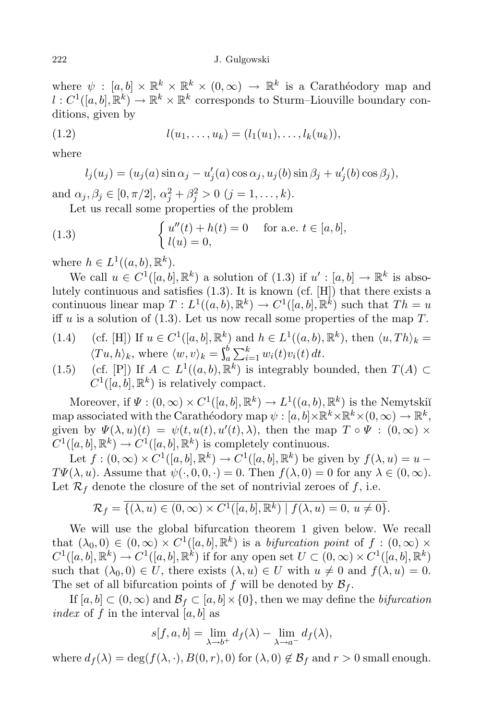where  $\psi : [a, b] \times \mathbb{R}^k \times \mathbb{R}^k \times (0, \infty) \to \mathbb{R}^k$  is a Carathéodory map and  $l: C^1([a, b], \mathbb{R}^k) \to \mathbb{R}^k \times \mathbb{R}^k$  corresponds to Sturm–Liouville boundary conditions, given by

(1.2) 
$$
l(u_1, \ldots, u_k) = (l_1(u_1), \ldots, l_k(u_k)),
$$

where

$$
l_j(u_j) = (u_j(a)\sin\alpha_j - u'_j(a)\cos\alpha_j, u_j(b)\sin\beta_j + u'_j(b)\cos\beta_j),
$$

and  $\alpha_j, \beta_j \in [0, \pi/2], \alpha_j^2 + \beta_j^2 > 0 \ (j = 1, \ldots, k).$ 

Let us recall some properties of the problem

(1.3) 
$$
\begin{cases} u''(t) + h(t) = 0 & \text{for a.e. } t \in [a, b], \\ l(u) = 0, \end{cases}
$$

where  $h \in L^1((a, b), \mathbb{R}^k)$ .

We call  $u \in C^1([a, b], \mathbb{R}^k)$  a solution of  $(1.3)$  if  $u' : [a, b] \to \mathbb{R}^k$  is absolutely continuous and satisfies (1.3). It is known (cf. [H]) that there exists a continuous linear map  $T: L^1((a, b), \mathbb{R}^k) \to C^1([a, b], \mathbb{R}^k)$  such that  $Th = u$ iff *u* is a solution of (1.3). Let us now recall some properties of the map *T*.

- $(1.4)$  (cf. [H]) If  $u \in C^1([a, b], \mathbb{R}^k)$  and  $h \in L^1((a, b), \mathbb{R}^k)$ , then  $\langle u, Th \rangle_k =$  $\langle Tu, h \rangle_k$ , where  $\langle w, v \rangle_k = \int_a^b \sum_{i=1}^k$  $\sum_{i=1}^{b} w_i(t) v_i(t) dt$ .
- (1.5) (cf. [P]) If *A* ⊂ *L*<sup>1</sup>((*a, b*),  $\mathbb{R}^k$ ) is integrably bounded, then *T*(*A*) ⊂  $C^1([a, b], \mathbb{R}^k)$  is relatively compact.

Moreover, if  $\Psi : (0, \infty) \times C^1([a, b], \mathbb{R}^k) \to L^1((a, b), \mathbb{R}^k)$  is the Nemytskiı̆ map associated with the Carathéodory map  $\psi : [a, b] \times \mathbb{R}^k \times \mathbb{R}^k \times (0, \infty) \to \mathbb{R}^k$ , given by  $\Psi(\lambda, u)(t) = \psi(t, u(t), u'(t), \lambda)$ , then the map  $T \circ \Psi : (0, \infty) \times$  $C^1([a, b], \mathbb{R}^k) \to C^1([a, b], \mathbb{R}^k)$  is completely continuous.

Let  $f : (0, \infty) \times C^1([a, b], \mathbb{R}^k) \to C^1([a, b], \mathbb{R}^k)$  be given by  $f(\lambda, u) = u -$ *TΨ*( $\lambda$ , *u*). Assume that  $\psi(\cdot, 0, 0, \cdot) = 0$ . Then  $f(\lambda, 0) = 0$  for any  $\lambda \in (0, \infty)$ . Let  $\mathcal{R}_f$  denote the closure of the set of nontrivial zeroes of  $f$ , i.e.

$$
\mathcal{R}_f = \overline{\{(\lambda, u) \in (0, \infty) \times C^1([a, b], \mathbb{R}^k) \mid f(\lambda, u) = 0, u \neq 0\}}.
$$

We will use the global bifurcation theorem 1 given below. We recall that  $(\lambda_0, 0) \in (0, \infty) \times C^1([a, b], \mathbb{R}^k)$  is a *bifurcation point* of  $f : (0, \infty) \times C^1([a, b], \mathbb{R}^k)$  $C^1([a, b], \mathbb{R}^k) \to C^1([a, b], \mathbb{R}^k)$  if for any open set  $U \subset (0, \infty) \times C^1([a, b], \mathbb{R}^k)$ such that  $(\lambda_0, 0) \in U$ , there exists  $(\lambda, u) \in U$  with  $u \neq 0$  and  $f(\lambda, u) = 0$ . The set of all bifurcation points of  $f$  will be denoted by  $\mathcal{B}_f$ .

If  $[a, b] \subset (0, \infty)$  and  $\mathcal{B}_f \subset [a, b] \times \{0\}$ , then we may define the *bifurcation index* of  $f$  in the interval  $[a, b]$  as

$$
s[f, a, b] = \lim_{\lambda \to b^{+}} df(\lambda) - \lim_{\lambda \to a^{-}} df(\lambda),
$$

where  $d_f(\lambda) = \deg(f(\lambda, \cdot), B(0, r), 0)$  for  $(\lambda, 0) \notin \mathcal{B}_f$  and  $r > 0$  small enough.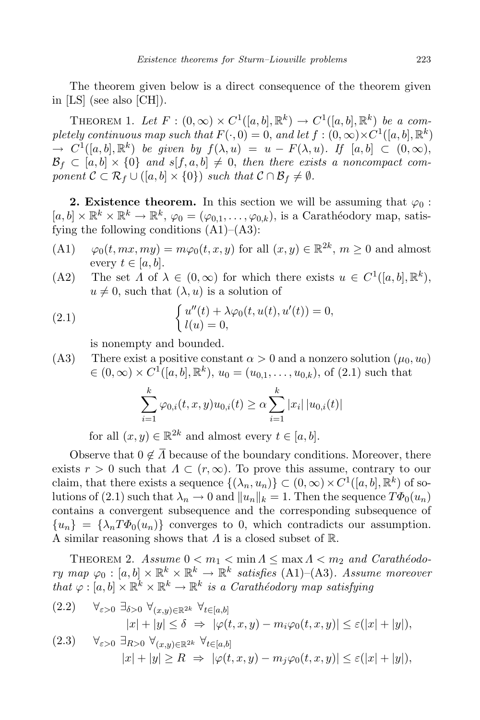The theorem given below is a direct consequence of the theorem given in [LS] (see also [CH]).

THEOREM 1. Let  $F : (0, \infty) \times C^1([a, b], \mathbb{R}^k) \to C^1([a, b], \mathbb{R}^k)$  be a com $p$ *letely continuous map such that*  $F(\cdot, 0) = 0$ *, and let*  $f : (0, \infty) \times C^1([a, b], \mathbb{R}^k)$  $\rightarrow C^1([a, b], \mathbb{R}^k)$  be given by  $f(\lambda, u) = u - F(\lambda, u)$ . If  $[a, b] \subset (0, \infty)$ ,  $B_f \subset [a, b] \times \{0\}$  and  $s[f, a, b] \neq 0$ , then there exists a noncompact com*ponent*  $C \subset \mathcal{R}_f \cup ([a, b] \times \{0\})$  *such that*  $C \cap \mathcal{B}_f \neq \emptyset$ *.* 

**2. Existence theorem.** In this section we will be assuming that  $\varphi_0$ :  $[a, b] \times \mathbb{R}^k \times \mathbb{R}^k \to \mathbb{R}^k$ ,  $\varphi_0 = (\varphi_{0,1}, \ldots, \varphi_{0,k})$ , is a Carathéodory map, satisfying the following conditions  $(A1)$ – $(A3)$ :

- (A1)  $\varphi_0(t, mx, my) = m\varphi_0(t, x, y)$  for all  $(x, y) \in \mathbb{R}^{2k}$ ,  $m \ge 0$  and almost every  $t \in [a, b]$ .
- (A2) The set  $\Lambda$  of  $\lambda \in (0, \infty)$  for which there exists  $u \in C^1([a, b], \mathbb{R}^k)$ ,  $u \neq 0$ , such that  $(\lambda, u)$  is a solution of

(2.1) 
$$
\begin{cases} u''(t) + \lambda \varphi_0(t, u(t), u'(t)) = 0, \\ l(u) = 0, \end{cases}
$$

is nonempty and bounded.

(A3) There exist a positive constant  $\alpha > 0$  and a nonzero solution  $(\mu_0, u_0)$  $\in (0, \infty) \times C^1([a, b], \mathbb{R}^k)$ ,  $u_0 = (u_{0,1}, \ldots, u_{0,k})$ , of  $(2.1)$  such that

$$
\sum_{i=1}^{k} \varphi_{0,i}(t, x, y) u_{0,i}(t) \ge \alpha \sum_{i=1}^{k} |x_i| |u_{0,i}(t)|
$$

for all  $(x, y) \in \mathbb{R}^{2k}$  and almost every  $t \in [a, b]$ .

Observe that  $0 \notin \overline{\Lambda}$  because of the boundary conditions. Moreover, there exists  $r > 0$  such that  $\Lambda \subset (r, \infty)$ . To prove this assume, contrary to our claim, that there exists a sequence  $\{(\lambda_n, u_n)\} \subset (0, \infty) \times C^1([a, b], \mathbb{R}^k)$  of solutions of (2.1) such that  $\lambda_n \to 0$  and  $||u_n||_k = 1$ . Then the sequence  $T\Phi_0(u_n)$ contains a convergent subsequence and the corresponding subsequence of  ${u_n} = {\lambda_n T \Phi_0(u_n)}$  converges to 0, which contradicts our assumption. A similar reasoning shows that *Λ* is a closed subset of R.

THEOREM 2.  $Assume\ 0 < m_1 < \min A \leq \max A < m_2$  and  $Carathéodo \forall r$  *ry*  $map \ \varphi_0 : [a, b] \times \mathbb{R}^k \times \mathbb{R}^k \to \mathbb{R}^k$  satisfies (A1)–(A3). Assume moreover *that*  $\varphi : [a, b] \times \mathbb{R}^k \times \mathbb{R}^k \to \mathbb{R}^k$  *is a Carathéodory map satisfying* 

$$
(2.2) \quad \forall_{\varepsilon>0} \; \exists_{\delta>0} \; \forall_{(x,y)\in\mathbb{R}^{2k}} \; \forall_{t\in[a,b]} |x|+|y| \leq \delta \; \Rightarrow \; |\varphi(t,x,y)-m_i\varphi_0(t,x,y)| \leq \varepsilon(|x|+|y|),
$$

$$
(2.3) \quad \forall_{\varepsilon>0} \ \exists_{R>0} \ \forall_{(x,y)\in\mathbb{R}^{2k}} \ \forall_{t\in[a,b]} |x|+|y| \geq R \ \Rightarrow \ |\varphi(t,x,y)-m_j\varphi_0(t,x,y)| \leq \varepsilon(|x|+|y|),
$$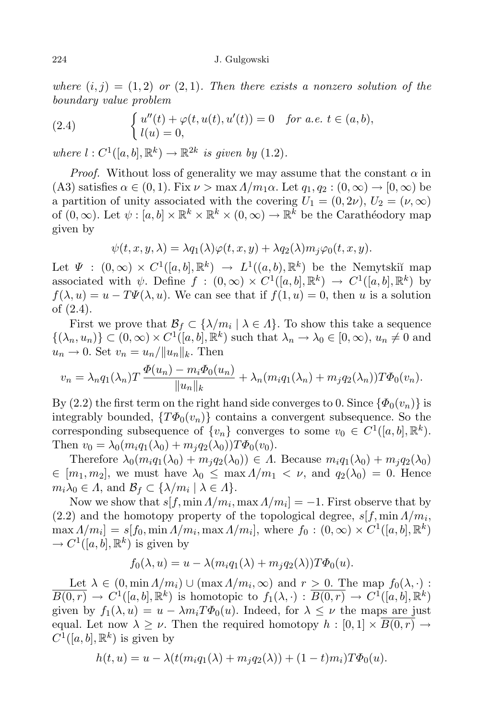*where*  $(i, j) = (1, 2)$  *or*  $(2, 1)$ *. Then there exists a nonzero solution of the boundary value problem*

(2.4) 
$$
\begin{cases} u''(t) + \varphi(t, u(t), u'(t)) = 0 & \text{for a.e. } t \in (a, b), \\ l(u) = 0, \end{cases}
$$

 $where \ l : C^1([a, b], \mathbb{R}^k) \to \mathbb{R}^{2k} \text{ is given by } (1.2).$ 

*Proof.* Without loss of generality we may assume that the constant  $\alpha$  in  $(A3)$  satisfies  $\alpha \in (0,1)$ . Fix  $\nu > \max A/m_1\alpha$ . Let  $q_1, q_2 : (0, \infty) \to [0, \infty)$  be a partition of unity associated with the covering  $U_1 = (0, 2\nu)$ ,  $U_2 = (\nu, \infty)$ of  $(0, \infty)$ . Let  $\psi : [a, b] \times \mathbb{R}^k \times \mathbb{R}^k \times (0, \infty) \to \mathbb{R}^k$  be the Carathéodory map given by

$$
\psi(t, x, y, \lambda) = \lambda q_1(\lambda) \varphi(t, x, y) + \lambda q_2(\lambda) m_j \varphi_0(t, x, y).
$$

Let  $\Psi : (0, \infty) \times C^1([a, b], \mathbb{R}^k) \to L^1((a, b), \mathbb{R}^k)$  be the Nemytskiı̆ map associated with  $\psi$ . Define  $f : (0, \infty) \times C^1([a, b], \mathbb{R}^k) \to C^1([a, b], \mathbb{R}^k)$  by  $f(\lambda, u) = u - T\Psi(\lambda, u)$ . We can see that if  $f(1, u) = 0$ , then *u* is a solution of (2.4).

First we prove that  $\mathcal{B}_f \subset \{\lambda/m_i \mid \lambda \in \Lambda\}$ . To show this take a sequence  $\{(\lambda_n, u_n)\}\subset (0,\infty)\times C^1([a,b],\mathbb{R}^k)$  such that  $\lambda_n \to \lambda_0 \in [0,\infty), u_n \neq 0$  and  $u_n \to 0$ . Set  $v_n = u_n / ||u_n||_k$ . Then

$$
v_n = \lambda_n q_1(\lambda_n) T \frac{\Phi(u_n) - m_i \Phi_0(u_n)}{\|u_n\|_k} + \lambda_n (m_i q_1(\lambda_n) + m_j q_2(\lambda_n)) T \Phi_0(v_n).
$$

By (2.2) the first term on the right hand side converges to 0. Since  $\{\Phi_0(v_n)\}\$ is integrably bounded,  ${T\Phi_0(v_n)}$  contains a convergent subsequence. So the corresponding subsequence of  $\{v_n\}$  converges to some  $v_0 \in C^1([a, b], \mathbb{R}^k)$ . Then  $v_0 = \lambda_0 (m_i q_1(\lambda_0) + m_i q_2(\lambda_0)) T \Phi_0(v_0)$ .

Therefore  $\lambda_0(m_i q_1(\lambda_0) + m_j q_2(\lambda_0)) \in \Lambda$ . Because  $m_i q_1(\lambda_0) + m_j q_2(\lambda_0)$  $\in$   $[m_1, m_2]$ , we must have  $\lambda_0 \leq \max \Lambda/m_1 < \nu$ , and  $q_2(\lambda_0) = 0$ . Hence  $m_i\lambda_0 \in \Lambda$ , and  $\mathcal{B}_f \subset \{\lambda/m_i \mid \lambda \in \Lambda\}$ .

Now we show that  $s[f, \min A/m_i, \max A/m_i] = -1$ . First observe that by  $(2.2)$  and the homotopy property of the topological degree,  $s[f, \min A/m_i,$  $\max_{i} A / m_i$  =  $s[f_0, \min A / m_i, \max A / m_i]$ , where  $f_0 : (0, \infty) \times C^1([a, b], \mathbb{R}^k)$  $\rightarrow C^1([a, b], \mathbb{R}^k)$  is given by

$$
f_0(\lambda, u) = u - \lambda (m_i q_1(\lambda) + m_j q_2(\lambda)) T \Phi_0(u).
$$

Let  $\lambda \in (0, \min A/m_i) \cup (\max A/m_i, \infty)$  and  $r \geq 0$ . The map  $f_0(\lambda, \cdot)$ :  $\overline{B(0,r)} \to C^1([a,b],\mathbb{R}^k)$  is homotopic to  $f_1(\lambda,\cdot): \overline{B(0,r)} \to C^1([a,b],\mathbb{R}^k)$ given by  $f_1(\lambda, u) = u - \lambda m_i T \Phi_0(u)$ . Indeed, for  $\lambda \leq \nu$  the maps are just equal. Let now  $\lambda \geq \nu$ . Then the required homotopy  $h : [0,1] \times B(0,r) \rightarrow$  $C^1([a, b], \mathbb{R}^k)$  is given by

$$
h(t, u) = u - \lambda(t(m_i q_1(\lambda) + m_j q_2(\lambda)) + (1 - t)m_i)T\Phi_0(u).
$$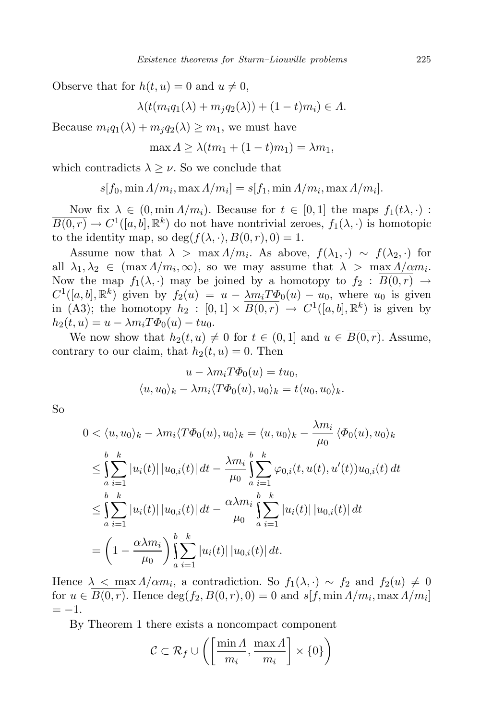Observe that for  $h(t, u) = 0$  and  $u \neq 0$ ,

$$
\lambda(t(m_iq_1(\lambda)+m_jq_2(\lambda))+(1-t)m_i)\in\Lambda.
$$

Because  $m_i q_1(\lambda) + m_i q_2(\lambda) \geq m_1$ , we must have

$$
\max \Lambda \geq \lambda (tm_1 + (1-t)m_1) = \lambda m_1,
$$

which contradicts  $\lambda > \nu$ . So we conclude that

$$
s[f_0, \min \Lambda/m_i, \max \Lambda/m_i] = s[f_1, \min \Lambda/m_i, \max \Lambda/m_i].
$$

Now fix  $\lambda \in (0, \min A/m_i)$ . Because for  $t \in [0, 1]$  the maps  $f_1(t\lambda, \cdot)$ :  $\overline{B(0,r)} \to C^1([a,b],\mathbb{R}^k)$  do not have nontrivial zeroes,  $f_1(\lambda,\cdot)$  is homotopic to the identity map, so  $\deg(f(\lambda, \cdot), B(0, r), 0) = 1$ .

Assume now that  $\lambda > \max A/m_i$ . As above,  $f(\lambda_1, \cdot) \sim f(\lambda_2, \cdot)$  for all  $\lambda_1, \lambda_2 \in (\max A/m_i, \infty)$ , so we may assume that  $\lambda > \max A/\alpha m_i$ . Now the map  $f_1(\lambda, \cdot)$  may be joined by a homotopy to  $f_2 : \overline{B(0,r)} \to$  $C^1([a, b], \mathbb{R}^k)$  given by  $f_2(u) = u - \frac{\lambda m_i T \Phi_0(u) - u_0}{\lambda m_i T \Phi_0(u)}$ , where  $u_0$  is given in (A3); the homotopy  $h_2 : [0,1] \times \overline{B(0,r)} \to C^1([a,b],\mathbb{R}^k)$  is given by  $h_2(t, u) = u - \lambda m_i T \Phi_0(u) - t u_0.$ 

We now show that  $h_2(t, u) \neq 0$  for  $t \in (0, 1]$  and  $u \in \overline{B(0, r)}$ . Assume, contrary to our claim, that  $h_2(t, u) = 0$ . Then

$$
u - \lambda m_i T \Phi_0(u) = t u_0,
$$
  

$$
\langle u, u_0 \rangle_k - \lambda m_i \langle T \Phi_0(u), u_0 \rangle_k = t \langle u_0, u_0 \rangle_k.
$$

So

$$
0 < \langle u, u_0 \rangle_k - \lambda m_i \langle T\Phi_0(u), u_0 \rangle_k = \langle u, u_0 \rangle_k - \frac{\lambda m_i}{\mu_0} \langle \Phi_0(u), u_0 \rangle_k
$$
\n
$$
\leq \int_{a}^{b} \sum_{i=1}^{k} |u_i(t)| |u_{0,i}(t)| dt - \frac{\lambda m_i}{\mu_0} \int_{a}^{b} \sum_{i=1}^{k} \varphi_{0,i}(t, u(t), u'(t)) u_{0,i}(t) dt
$$
\n
$$
\leq \int_{a}^{b} \sum_{i=1}^{k} |u_i(t)| |u_{0,i}(t)| dt - \frac{\alpha \lambda m_i}{\mu_0} \int_{a}^{b} \sum_{i=1}^{k} |u_i(t)| |u_{0,i}(t)| dt
$$
\n
$$
= \left(1 - \frac{\alpha \lambda m_i}{\mu_0}\right) \int_{a}^{b} \sum_{i=1}^{k} |u_i(t)| |u_{0,i}(t)| dt.
$$

Hence  $\lambda \leq \max_{i} \Lambda / \alpha m_i$ , a contradiction. So  $f_1(\lambda, \cdot) \sim f_2$  and  $f_2(u) \neq 0$ for  $u \in B(0,r)$ . Hence  $\deg(f_2, B(0,r), 0) = 0$  and  $s[f, \min A/m_i, \max A/m_i]$ = *−*1.

By Theorem 1 there exists a noncompact component

$$
C \subset \mathcal{R}_f \cup \left( \left[ \frac{\min A}{m_i}, \frac{\max A}{m_i} \right] \times \{0\} \right)
$$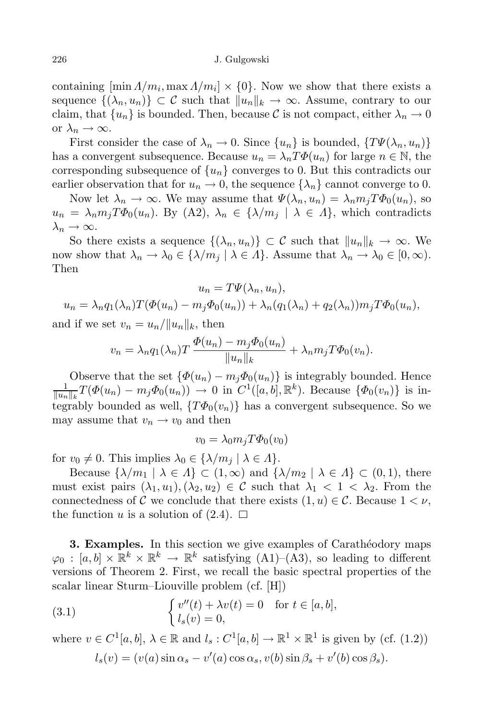containing  $[\min A/m_i, \max A/m_i] \times \{0\}$ . Now we show that there exists a sequence  $\{(\lambda_n, u_n)\}\subset \mathcal{C}$  such that  $||u_n||_k \to \infty$ . Assume, contrary to our claim, that  $\{u_n\}$  is bounded. Then, because C is not compact, either  $\lambda_n \to 0$ or  $\lambda_n \to \infty$ .

First consider the case of  $\lambda_n \to 0$ . Since  $\{u_n\}$  is bounded,  $\{T\Psi(\lambda_n, u_n)\}$ has a convergent subsequence. Because  $u_n = \lambda_n T \Phi(u_n)$  for large  $n \in \mathbb{N}$ , the corresponding subsequence of  $\{u_n\}$  converges to 0. But this contradicts our earlier observation that for  $u_n \to 0$ , the sequence  $\{\lambda_n\}$  cannot converge to 0.

Now let  $\lambda_n \to \infty$ . We may assume that  $\Psi(\lambda_n, u_n) = \lambda_n m_i T \Phi_0(u_n)$ , so  $u_n = \lambda_n m_j T \Phi_0(u_n)$ . By (A2),  $\lambda_n \in {\{\lambda/m_j \mid \lambda \in \Lambda\}}$ , which contradicts  $\lambda_n \to \infty$ .

So there exists a sequence  $\{(\lambda_n, u_n)\}\subset \mathcal{C}$  such that  $||u_n||_k \to \infty$ . We now show that  $\lambda_n \to \lambda_0 \in \{\lambda/m_i \mid \lambda \in \Lambda\}$ . Assume that  $\lambda_n \to \lambda_0 \in [0,\infty)$ . Then

$$
u_n = T\Psi(\lambda_n, u_n),
$$
  

$$
u_n = \lambda_n q_1(\lambda_n) T(\Phi(u_n) - m_j \Phi_0(u_n)) + \lambda_n (q_1(\lambda_n) + q_2(\lambda_n)) m_j T \Phi_0(u_n),
$$

and if we set  $v_n = u_n / ||u_n||_k$ , then

$$
v_n = \lambda_n q_1(\lambda_n) T \frac{\Phi(u_n) - m_j \Phi_0(u_n)}{\|u_n\|_k} + \lambda_n m_j T \Phi_0(v_n).
$$

Observe that the set  $\{\Phi(u_n) - m_j\Phi_0(u_n)\}\$ is integrably bounded. Hence 1  $\frac{1}{\|u_n\|_k}T(\Phi(u_n)-m_j\Phi_0(u_n))\to 0$  in  $C^1([a,b],\mathbb{R}^k)$ . Because  $\{\Phi_0(v_n)\}\$ is integrably bounded as well,  $\{T\Phi_0(v_n)\}$  has a convergent subsequence. So we may assume that  $v_n \to v_0$  and then

$$
v_0 = \lambda_0 m_j T \Phi_0(v_0)
$$

for  $v_0 \neq 0$ . This implies  $\lambda_0 \in \{\lambda/m_i \mid \lambda \in \Lambda\}.$ 

Because  $\{\lambda/m_1 \mid \lambda \in \Lambda\} \subset (1,\infty)$  and  $\{\lambda/m_2 \mid \lambda \in \Lambda\} \subset (0,1)$ , there must exist pairs  $(\lambda_1, u_1), (\lambda_2, u_2) \in \mathcal{C}$  such that  $\lambda_1 < 1 < \lambda_2$ . From the connectedness of *C* we conclude that there exists  $(1, u) \in C$ . Because  $1 < \nu$ , the function *u* is a solution of  $(2.4)$ .  $\Box$ 

**3. Examples.** In this section we give examples of Carathéodory maps  $\varphi_0 : [a, b] \times \mathbb{R}^k \times \mathbb{R}^k \to \mathbb{R}^k$  satisfying  $(A1)$ – $(A3)$ , so leading to different versions of Theorem 2. First, we recall the basic spectral properties of the scalar linear Sturm–Liouville problem (cf. [H])

(3.1) 
$$
\begin{cases} v''(t) + \lambda v(t) = 0 & \text{for } t \in [a, b], \\ l_s(v) = 0, \end{cases}
$$

where  $v \in C^1[a, b]$ ,  $\lambda \in \mathbb{R}$  and  $l_s : C^1[a, b] \to \mathbb{R}^1 \times \mathbb{R}^1$  is given by (cf. (1.2))

$$
l_s(v) = (v(a)\sin\alpha_s - v'(a)\cos\alpha_s, v(b)\sin\beta_s + v'(b)\cos\beta_s).
$$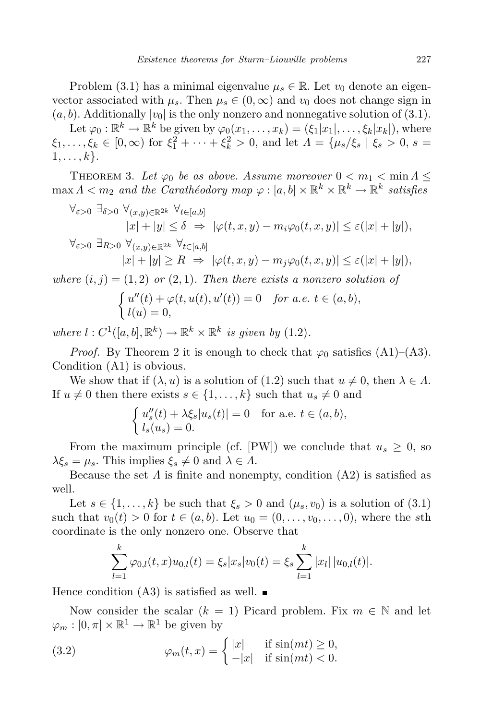Problem (3.1) has a minimal eigenvalue  $\mu_s \in \mathbb{R}$ . Let  $v_0$  denote an eigenvector associated with  $\mu_s$ . Then  $\mu_s \in (0, \infty)$  and  $v_0$  does not change sign in  $(a, b)$ . Additionally  $|v_0|$  is the only nonzero and nonnegative solution of (3.1).

Let  $\varphi_0 : \mathbb{R}^k \to \mathbb{R}^k$  be given by  $\varphi_0(x_1, \ldots, x_k) = (\xi_1 | x_1 |, \ldots, \xi_k | x_k |)$ , where  $\xi_1, \ldots, \xi_k \in [0, \infty)$  for  $\xi_1^2 + \cdots + \xi_k^2 > 0$ , and let  $\Lambda = {\mu_s/\xi_s | \xi_s > 0, s =$  $1, \ldots, k$ .

THEOREM 3. Let  $\varphi_0$  be as above. Assume moreover  $0 < m_1 < \min A \le$  $\max A < m_2$  and the *Carathéodory*  $map \varphi : [a, b] \times \mathbb{R}^k \times \mathbb{R}^k \to \mathbb{R}^k$  satisfies

$$
\forall \varepsilon > 0 \ \exists \delta > 0 \ \forall (x, y) \in \mathbb{R}^{2k} \ \forall t \in [a, b]
$$
\n
$$
|x| + |y| \le \delta \ \Rightarrow \ |\varphi(t, x, y) - m_i \varphi_0(t, x, y)| \le \varepsilon (|x| + |y|),
$$
\n
$$
\forall \varepsilon > 0 \ \exists R > 0 \ \forall (x, y) \in \mathbb{R}^{2k} \ \forall t \in [a, b]
$$
\n
$$
|x| + |y| \ge R \ \Rightarrow \ |\varphi(t, x, y) - m_j \varphi_0(t, x, y)| \le \varepsilon (|x| + |y|),
$$
\n
$$
\langle x, y \rangle \le \varepsilon (|x| + |y|),
$$
\n
$$
\langle x, y \rangle \le \varepsilon (|x| + |y|),
$$

 $where (i, j) = (1, 2)$  *or*  $(2, 1)$ *. Then there exists a nonzero solution of* 

$$
\begin{cases}\n u''(t) + \varphi(t, u(t), u'(t)) = 0 & \text{for a.e. } t \in (a, b), \\
l(u) = 0,\n\end{cases}
$$

 $where$   $l: C^1([a, b], \mathbb{R}^k) \to \mathbb{R}^k \times \mathbb{R}^k$  *is given by* (1.2).

*Proof.* By Theorem 2 it is enough to check that  $\varphi_0$  satisfies (A1)–(A3). Condition (A1) is obvious.

We show that if  $(\lambda, u)$  is a solution of  $(1.2)$  such that  $u \neq 0$ , then  $\lambda \in \Lambda$ . If  $u \neq 0$  then there exists  $s \in \{1, \ldots, k\}$  such that  $u_s \neq 0$  and

$$
\begin{cases} u_s''(t) + \lambda \xi_s |u_s(t)| = 0 & \text{for a.e. } t \in (a, b), \\ l_s(u_s) = 0. \end{cases}
$$

From the maximum principle (cf. [PW]) we conclude that  $u_s \geq 0$ , so  $\lambda \xi_s = \mu_s$ . This implies  $\xi_s \neq 0$  and  $\lambda \in \Lambda$ .

Because the set  $\Lambda$  is finite and nonempty, condition  $(A2)$  is satisfied as well.

Let  $s \in \{1, \ldots, k\}$  be such that  $\xi_s > 0$  and  $(\mu_s, v_0)$  is a solution of (3.1) such that  $v_0(t) > 0$  for  $t \in (a, b)$ . Let  $u_0 = (0, \ldots, v_0, \ldots, 0)$ , where the sth coordinate is the only nonzero one. Observe that

$$
\sum_{l=1}^{k} \varphi_{0,l}(t,x) u_{0,l}(t) = \xi_s |x_s| v_0(t) = \xi_s \sum_{l=1}^{k} |x_l| |u_{0,l}(t)|.
$$

Hence condition  $(A3)$  is satisfied as well.  $\blacksquare$ 

Now consider the scalar  $(k = 1)$  Picard problem. Fix  $m \in \mathbb{N}$  and let  $\varphi_m : [0, \pi] \times \mathbb{R}^1 \to \mathbb{R}^1$  be given by

(3.2) 
$$
\varphi_m(t,x) = \begin{cases} |x| & \text{if } \sin(mt) \ge 0, \\ -|x| & \text{if } \sin(mt) < 0. \end{cases}
$$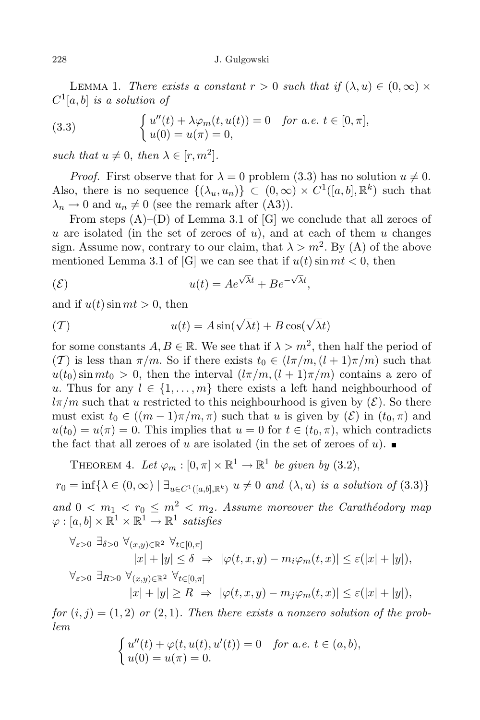LEMMA 1. *There exists* a *constant*  $r > 0$  *such* that if  $(\lambda, u) \in (0, \infty) \times$ *C* 1 [*a, b*] *is a solution of*

(3.3) 
$$
\begin{cases} u''(t) + \lambda \varphi_m(t, u(t)) = 0 & \text{for a.e. } t \in [0, \pi], \\ u(0) = u(\pi) = 0, \end{cases}
$$

*such that*  $u \neq 0$ , *then*  $\lambda \in [r, m^2]$ *.* 

*Proof.* First observe that for  $\lambda = 0$  problem (3.3) has no solution  $u \neq 0$ . Also, there is no sequence  $\{(\lambda_u, u_n)\} \subset (0, \infty) \times C^1([a, b], \mathbb{R}^k)$  such that  $\lambda_n \to 0$  and  $u_n \neq 0$  (see the remark after (A3)).

From steps  $(A)$ – $(D)$  of Lemma 3.1 of  $[G]$  we conclude that all zeroes of *u* are isolated (in the set of zeroes of *u*), and at each of them *u* changes sign. Assume now, contrary to our claim, that  $\lambda > m^2$ . By (A) of the above mentioned Lemma 3.1 of [G] we can see that if  $u(t)$  sin  $mt < 0$ , then

$$
u(t) = Ae^{\sqrt{\lambda}t} + Be^{-\sqrt{\lambda}t},
$$

and if  $u(t)$  sin  $mt > 0$ , then

$$
(T) \t u(t) = A \sin(\sqrt{\lambda}t) + B \cos(\sqrt{\lambda}t)
$$

for some constants  $A, B \in \mathbb{R}$ . We see that if  $\lambda > m^2$ , then half the period of (*T*) is less than  $\pi/m$ . So if there exists  $t_0 \in (l\pi/m, (l+1)\pi/m)$  such that  $u(t_0)$  sin  $mt_0 > 0$ , then the interval  $(l\pi/m, (l+1)\pi/m)$  contains a zero of *u*. Thus for any  $l \in \{1, \ldots, m\}$  there exists a left hand neighbourhood of  $l\pi/m$  such that *u* restricted to this neighbourhood is given by  $(\mathcal{E})$ . So there must exist  $t_0 \in ((m-1)\pi/m, \pi)$  such that *u* is given by  $(\mathcal{E})$  in  $(t_0, \pi)$  and  $u(t_0) = u(\pi) = 0$ . This implies that  $u = 0$  for  $t \in (t_0, \pi)$ , which contradicts the fact that all zeroes of *u* are isolated (in the set of zeroes of *u*).

THEOREM 4. Let  $\varphi_m : [0, \pi] \times \mathbb{R}^1 \to \mathbb{R}^1$  be given by (3.2),  $r_0 = \inf \{ \lambda \in (0, \infty) \mid \exists_{u \in C^1([a, b], \mathbb{R}^k)} u \neq 0 \text{ and } (\lambda, u) \text{ is a solution of (3.3)} \}$ *and*  $0 < m_1 < r_0 \leq m^2 < m_2$ . Assume moreover the Carathéodory map  $\varphi : [a, b] \times \mathbb{R}^1 \times \mathbb{R}^1 \to \mathbb{R}^1$  satisfies

$$
\forall_{\varepsilon>0} \ \exists_{\delta>0} \ \forall_{(x,y)\in\mathbb{R}^2} \ \forall_{t\in[0,\pi]}\n|x|+|y| \leq \delta \ \Rightarrow \ |\varphi(t,x,y)-m_i\varphi_m(t,x)| \leq \varepsilon(|x|+|y|),\n\forall_{\varepsilon>0} \ \exists_{R>0} \ \forall_{(x,y)\in\mathbb{R}^2} \ \forall_{t\in[0,\pi]}\n|x|+|y| \geq R \ \Rightarrow \ |\varphi(t,x,y)-m_j\varphi_m(t,x)| \leq \varepsilon(|x|+|y|),
$$

 $for (i, j) = (1, 2)$  *or*  $(2, 1)$ *. Then there exists a nonzero solution of the problem*

$$
\begin{cases}\n u''(t) + \varphi(t, u(t), u'(t)) = 0 & \text{for a.e. } t \in (a, b), \\
u(0) = u(\pi) = 0.\n\end{cases}
$$